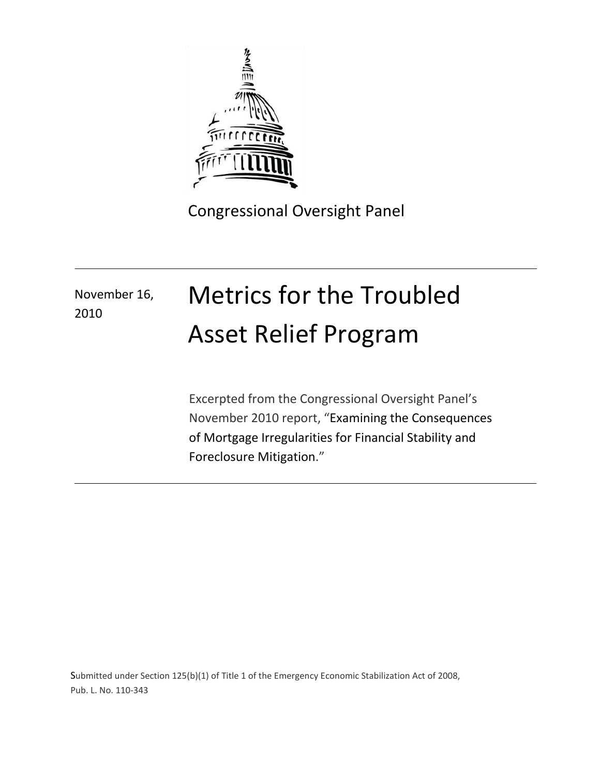

Congressional Oversight Panel

# November 16, 2010

# Metrics for the Troubled Asset Relief Program

Excerpted from the Congressional Oversight Panel's November 2010 report, "Examining the Consequences of Mortgage Irregularities for Financial Stability and Foreclosure Mitigation."

Submitted under Section 125(b)(1) of Title 1 of the Emergency Economic Stabilization Act of 2008, Pub. L. No. 110-343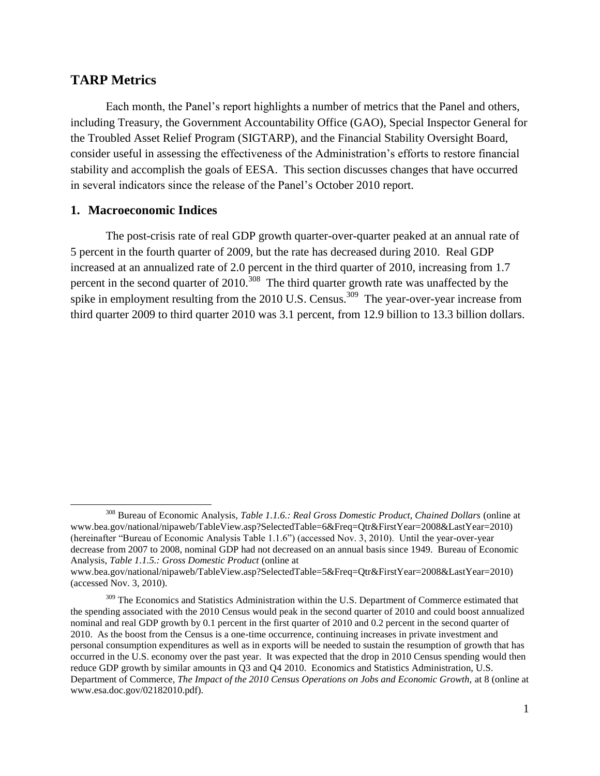## **TARP Metrics**

 $\overline{a}$ 

Each month, the Panel's report highlights a number of metrics that the Panel and others, including Treasury, the Government Accountability Office (GAO), Special Inspector General for the Troubled Asset Relief Program (SIGTARP), and the Financial Stability Oversight Board, consider useful in assessing the effectiveness of the Administration's efforts to restore financial stability and accomplish the goals of EESA. This section discusses changes that have occurred in several indicators since the release of the Panel's October 2010 report.

#### **1. Macroeconomic Indices**

The post-crisis rate of real GDP growth quarter-over-quarter peaked at an annual rate of 5 percent in the fourth quarter of 2009, but the rate has decreased during 2010. Real GDP increased at an annualized rate of 2.0 percent in the third quarter of 2010, increasing from 1.7 percent in the second quarter of  $2010$ <sup>308</sup>. The third quarter growth rate was unaffected by the spike in employment resulting from the 2010 U.S. Census.<sup>309</sup> The year-over-year increase from third quarter 2009 to third quarter 2010 was 3.1 percent, from 12.9 billion to 13.3 billion dollars.

<sup>308</sup> Bureau of Economic Analysis, *Table 1.1.6.: Real Gross Domestic Product, Chained Dollars* (online at www.bea.gov/national/nipaweb/TableView.asp?SelectedTable=6&Freq=Qtr&FirstYear=2008&LastYear=2010) (hereinafter "Bureau of Economic Analysis Table 1.1.6") (accessed Nov. 3, 2010). Until the year-over-year decrease from 2007 to 2008, nominal GDP had not decreased on an annual basis since 1949. Bureau of Economic Analysis, *Table 1.1.5.: Gross Domestic Product* (online at

www.bea.gov/national/nipaweb/TableView.asp?SelectedTable=5&Freq=Qtr&FirstYear=2008&LastYear=2010) (accessed Nov. 3, 2010).

<sup>&</sup>lt;sup>309</sup> The Economics and Statistics Administration within the U.S. Department of Commerce estimated that the spending associated with the 2010 Census would peak in the second quarter of 2010 and could boost annualized nominal and real GDP growth by 0.1 percent in the first quarter of 2010 and 0.2 percent in the second quarter of 2010. As the boost from the Census is a one-time occurrence, continuing increases in private investment and personal consumption expenditures as well as in exports will be needed to sustain the resumption of growth that has occurred in the U.S. economy over the past year. It was expected that the drop in 2010 Census spending would then reduce GDP growth by similar amounts in Q3 and Q4 2010. Economics and Statistics Administration, U.S. Department of Commerce, *The Impact of the 2010 Census Operations on Jobs and Economic Growth*, at 8 (online at www.esa.doc.gov/02182010.pdf).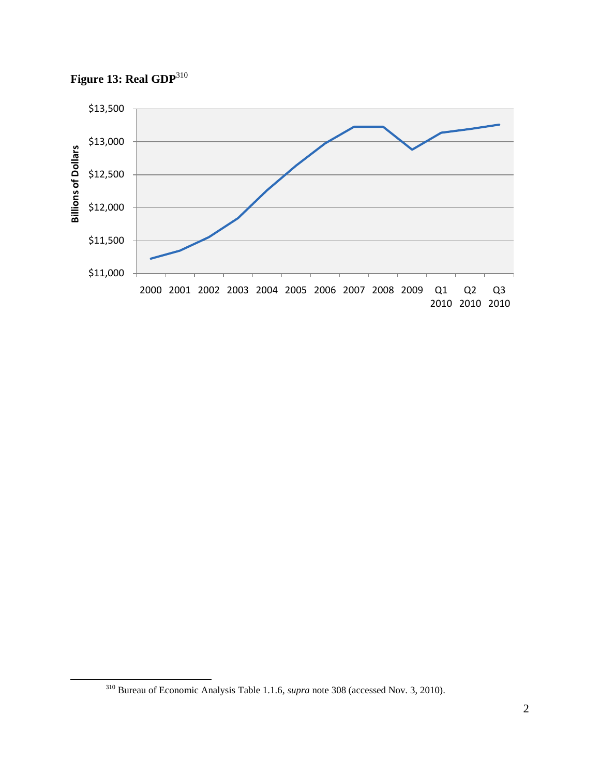



<sup>310</sup> Bureau of Economic Analysis Table 1.1.6, *supra* note 308 (accessed Nov. 3, 2010).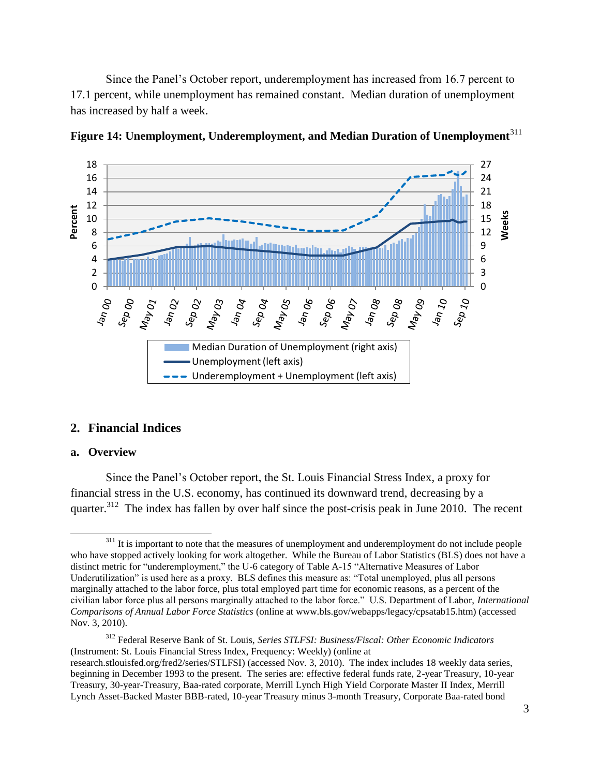Since the Panel's October report, underemployment has increased from 16.7 percent to 17.1 percent, while unemployment has remained constant. Median duration of unemployment has increased by half a week.



**Figure 14: Unemployment, Underemployment, and Median Duration of Unemployment**<sup>311</sup>

#### **2. Financial Indices**

#### **a. Overview**

Since the Panel's October report, the St. Louis Financial Stress Index, a proxy for financial stress in the U.S. economy, has continued its downward trend, decreasing by a quarter.<sup>312</sup> The index has fallen by over half since the post-crisis peak in June 2010. The recent

 $\overline{\phantom{a}}$ <sup>311</sup> It is important to note that the measures of unemployment and underemployment do not include people who have stopped actively looking for work altogether. While the Bureau of Labor Statistics (BLS) does not have a distinct metric for "underemployment," the U-6 category of Table A-15 "Alternative Measures of Labor Underutilization" is used here as a proxy. BLS defines this measure as: "Total unemployed, plus all persons marginally attached to the labor force, plus total employed part time for economic reasons, as a percent of the civilian labor force plus all persons marginally attached to the labor force." U.S. Department of Labor, *International Comparisons of Annual Labor Force Statistics* (online at www.bls.gov/webapps/legacy/cpsatab15.htm) (accessed Nov. 3, 2010).

<sup>312</sup> Federal Reserve Bank of St. Louis, *Series STLFSI: Business/Fiscal: Other Economic Indicators*  (Instrument: St. Louis Financial Stress Index, Frequency: Weekly) (online at research.stlouisfed.org/fred2/series/STLFSI) (accessed Nov. 3, 2010). The index includes 18 weekly data series, beginning in December 1993 to the present. The series are: effective federal funds rate, 2-year Treasury, 10-year Treasury, 30-year-Treasury, Baa-rated corporate, Merrill Lynch High Yield Corporate Master II Index, Merrill Lynch Asset-Backed Master BBB-rated, 10-year Treasury minus 3-month Treasury, Corporate Baa-rated bond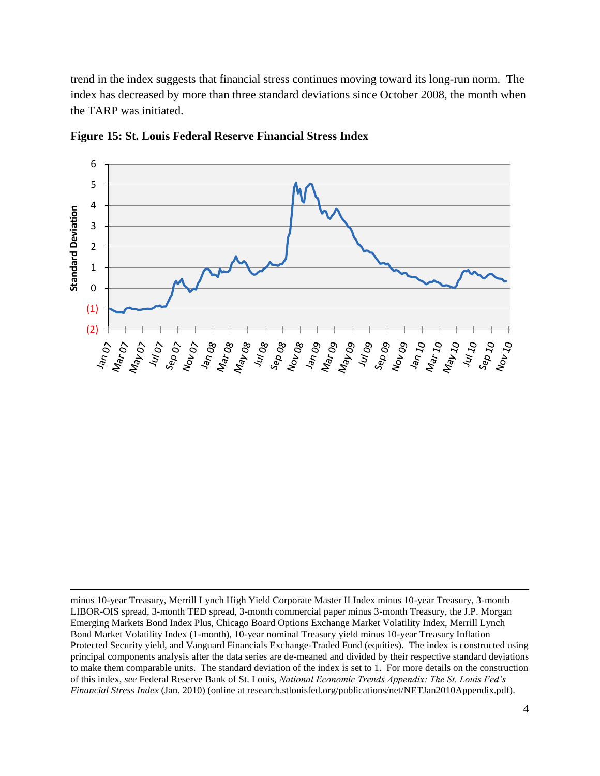trend in the index suggests that financial stress continues moving toward its long-run norm. The index has decreased by more than three standard deviations since October 2008, the month when the TARP was initiated.



**Figure 15: St. Louis Federal Reserve Financial Stress Index**

minus 10-year Treasury, Merrill Lynch High Yield Corporate Master II Index minus 10-year Treasury, 3-month LIBOR-OIS spread, 3-month TED spread, 3-month commercial paper minus 3-month Treasury, the J.P. Morgan Emerging Markets Bond Index Plus, Chicago Board Options Exchange Market Volatility Index, Merrill Lynch Bond Market Volatility Index (1-month), 10-year nominal Treasury yield minus 10-year Treasury Inflation Protected Security yield, and Vanguard Financials Exchange-Traded Fund (equities). The index is constructed using principal components analysis after the data series are de-meaned and divided by their respective standard deviations to make them comparable units. The standard deviation of the index is set to 1. For more details on the construction of this index, *see* Federal Reserve Bank of St. Louis, *National Economic Trends Appendix: The St. Louis Fed's Financial Stress Index* (Jan. 2010) (online at research.stlouisfed.org/publications/net/NETJan2010Appendix.pdf).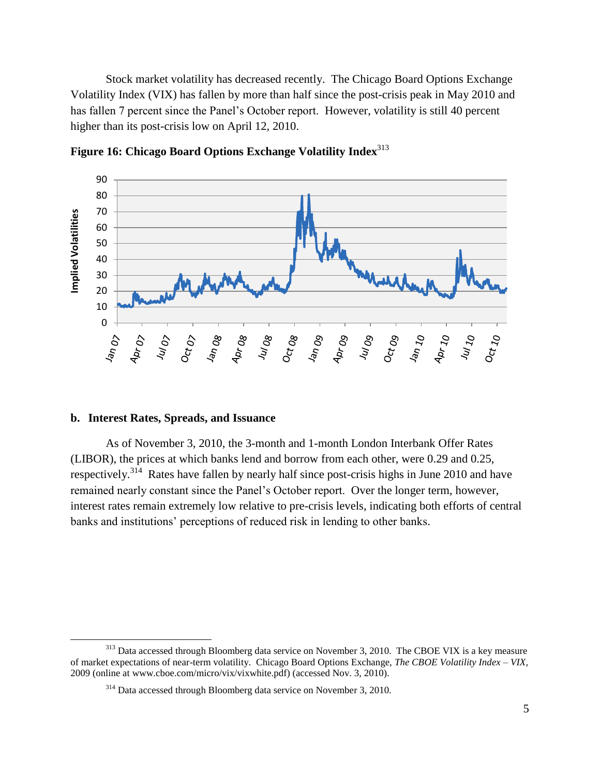Stock market volatility has decreased recently. The Chicago Board Options Exchange Volatility Index (VIX) has fallen by more than half since the post-crisis peak in May 2010 and has fallen 7 percent since the Panel's October report. However, volatility is still 40 percent higher than its post-crisis low on April 12, 2010.

![](_page_5_Figure_1.jpeg)

**Figure 16: Chicago Board Options Exchange Volatility Index**<sup>313</sup>

#### **b. Interest Rates, Spreads, and Issuance**

 $\overline{a}$ 

As of November 3, 2010, the 3-month and 1-month London Interbank Offer Rates (LIBOR), the prices at which banks lend and borrow from each other, were 0.29 and 0.25, respectively.<sup>314</sup> Rates have fallen by nearly half since post-crisis highs in June 2010 and have remained nearly constant since the Panel's October report. Over the longer term, however, interest rates remain extremely low relative to pre-crisis levels, indicating both efforts of central banks and institutions' perceptions of reduced risk in lending to other banks.

<sup>&</sup>lt;sup>313</sup> Data accessed through Bloomberg data service on November 3, 2010. The CBOE VIX is a key measure of market expectations of near-term volatility. Chicago Board Options Exchange, *The CBOE Volatility Index – VIX,*  2009 (online at www.cboe.com/micro/vix/vixwhite.pdf) (accessed Nov. 3, 2010).

<sup>&</sup>lt;sup>314</sup> Data accessed through Bloomberg data service on November 3, 2010.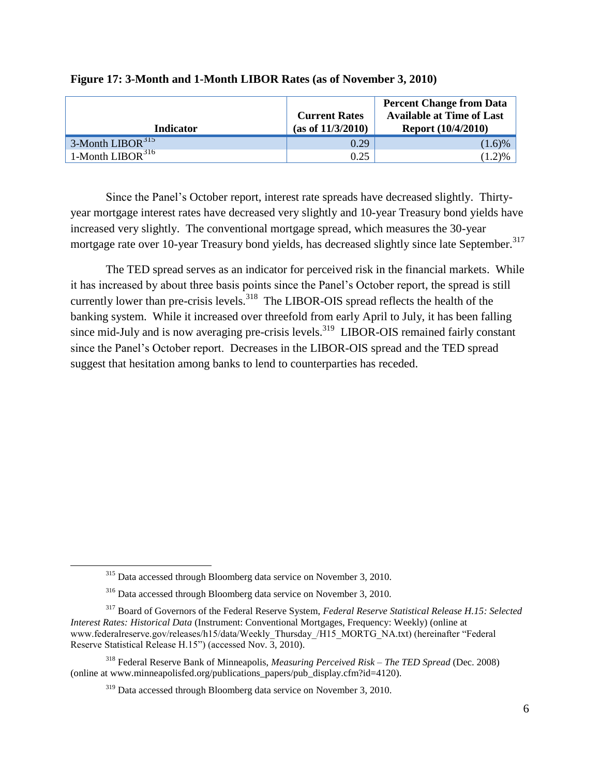| <b>Indicator</b>       | <b>Current Rates</b><br>(as of 11/3/2010) | <b>Percent Change from Data</b><br><b>Available at Time of Last</b><br><b>Report (10/4/2010)</b> |
|------------------------|-------------------------------------------|--------------------------------------------------------------------------------------------------|
| $3$ -Month LIBOR $315$ | 0.29                                      | $(1.6)\%$                                                                                        |
| 1-Month $LIBOR316$     | 0.25                                      | 2)%                                                                                              |

#### **Figure 17: 3-Month and 1-Month LIBOR Rates (as of November 3, 2010)**

Since the Panel's October report, interest rate spreads have decreased slightly. Thirtyyear mortgage interest rates have decreased very slightly and 10-year Treasury bond yields have increased very slightly. The conventional mortgage spread, which measures the 30-year mortgage rate over 10-year Treasury bond yields, has decreased slightly since late September.<sup>317</sup>

The TED spread serves as an indicator for perceived risk in the financial markets. While it has increased by about three basis points since the Panel's October report, the spread is still currently lower than pre-crisis levels.<sup>318</sup> The LIBOR-OIS spread reflects the health of the banking system. While it increased over threefold from early April to July, it has been falling since mid-July and is now averaging pre-crisis levels.<sup>319</sup> LIBOR-OIS remained fairly constant since the Panel's October report. Decreases in the LIBOR-OIS spread and the TED spread suggest that hesitation among banks to lend to counterparties has receded.

<sup>&</sup>lt;sup>315</sup> Data accessed through Bloomberg data service on November 3, 2010.

<sup>316</sup> Data accessed through Bloomberg data service on November 3, 2010.

<sup>317</sup> Board of Governors of the Federal Reserve System, *Federal Reserve Statistical Release H.15: Selected Interest Rates: Historical Data* (Instrument: Conventional Mortgages, Frequency: Weekly) (online at www.federalreserve.gov/releases/h15/data/Weekly\_Thursday\_/H15\_MORTG\_NA.txt) (hereinafter "Federal Reserve Statistical Release H.15") (accessed Nov. 3, 2010).

<sup>318</sup> Federal Reserve Bank of Minneapolis, *Measuring Perceived Risk – The TED Spread* (Dec. 2008) (online at www.minneapolisfed.org/publications\_papers/pub\_display.cfm?id=4120).

<sup>319</sup> Data accessed through Bloomberg data service on November 3, 2010.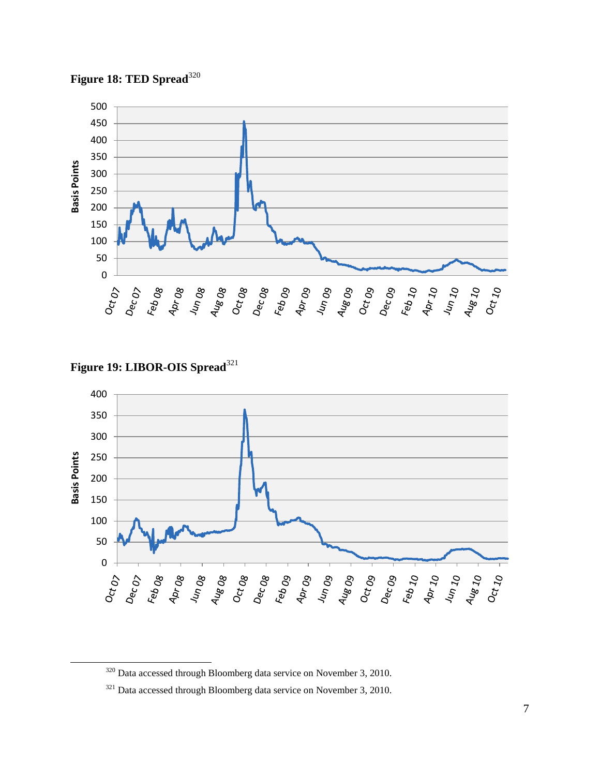**Figure 18: TED Spread**<sup>320</sup>

![](_page_7_Figure_1.jpeg)

Figure 19: LIBOR-OIS Spread<sup>321</sup>

l

![](_page_7_Figure_3.jpeg)

Data accessed through Bloomberg data service on November 3, 2010.

<sup>&</sup>lt;sup>321</sup> Data accessed through Bloomberg data service on November 3, 2010.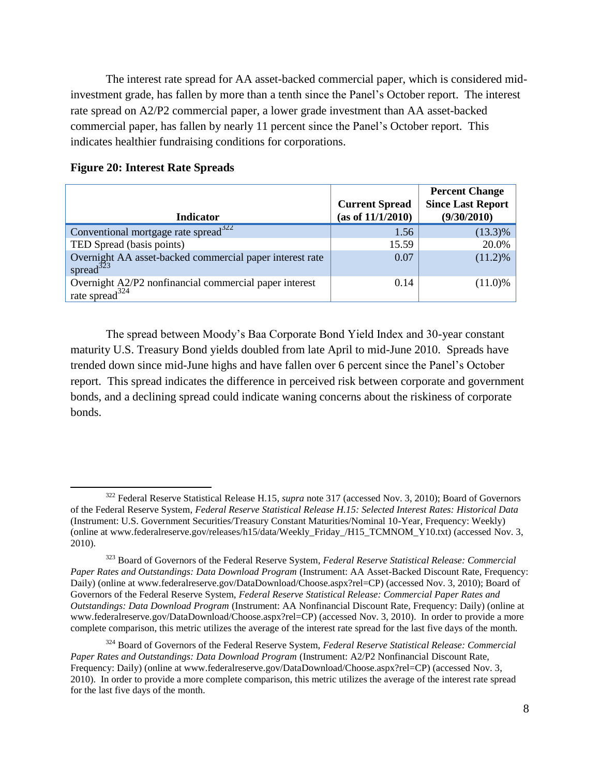The interest rate spread for AA asset-backed commercial paper, which is considered midinvestment grade, has fallen by more than a tenth since the Panel's October report. The interest rate spread on A2/P2 commercial paper, a lower grade investment than AA asset-backed commercial paper, has fallen by nearly 11 percent since the Panel's October report. This indicates healthier fundraising conditions for corporations.

|                                                                                                    | <b>Current Spread</b> | <b>Percent Change</b><br><b>Since Last Report</b> |
|----------------------------------------------------------------------------------------------------|-----------------------|---------------------------------------------------|
| <b>Indicator</b>                                                                                   | (as of 11/1/2010)     | (9/30/2010)                                       |
| Conventional mortgage rate spread $322$                                                            | 1.56                  | $(13.3)\%$                                        |
| TED Spread (basis points)                                                                          | 15.59                 | 20.0%                                             |
| Overnight AA asset-backed commercial paper interest rate<br>spread $323$                           | 0.07                  | $(11.2)\%$                                        |
| Overnight A2/P2 nonfinancial commercial paper interest<br>$\frac{1}{2}$ rate spread <sup>324</sup> | 0.14                  | $(11.0)\%$                                        |

#### **Figure 20: Interest Rate Spreads**

l

The spread between Moody's Baa Corporate Bond Yield Index and 30-year constant maturity U.S. Treasury Bond yields doubled from late April to mid-June 2010. Spreads have trended down since mid-June highs and have fallen over 6 percent since the Panel's October report. This spread indicates the difference in perceived risk between corporate and government bonds, and a declining spread could indicate waning concerns about the riskiness of corporate bonds.

<sup>322</sup> Federal Reserve Statistical Release H.15, *supra* note 317 (accessed Nov. 3, 2010); Board of Governors of the Federal Reserve System, *Federal Reserve Statistical Release H.15: Selected Interest Rates: Historical Data* (Instrument: U.S. Government Securities/Treasury Constant Maturities/Nominal 10-Year, Frequency: Weekly) (online at www.federalreserve.gov/releases/h15/data/Weekly\_Friday\_/H15\_TCMNOM\_Y10.txt) (accessed Nov. 3, 2010).

<sup>323</sup> Board of Governors of the Federal Reserve System, *Federal Reserve Statistical Release: Commercial Paper Rates and Outstandings: Data Download Program* (Instrument: AA Asset-Backed Discount Rate, Frequency: Daily) (online at www.federalreserve.gov/DataDownload/Choose.aspx?rel=CP) (accessed Nov. 3, 2010); Board of Governors of the Federal Reserve System, *Federal Reserve Statistical Release: Commercial Paper Rates and Outstandings: Data Download Program* (Instrument: AA Nonfinancial Discount Rate, Frequency: Daily) (online at www.federalreserve.gov/DataDownload/Choose.aspx?rel=CP) (accessed Nov. 3, 2010). In order to provide a more complete comparison, this metric utilizes the average of the interest rate spread for the last five days of the month.

<sup>324</sup> Board of Governors of the Federal Reserve System, *Federal Reserve Statistical Release: Commercial Paper Rates and Outstandings: Data Download Program* (Instrument: A2/P2 Nonfinancial Discount Rate, Frequency: Daily) (online at www.federalreserve.gov/DataDownload/Choose.aspx?rel=CP) (accessed Nov. 3, 2010). In order to provide a more complete comparison, this metric utilizes the average of the interest rate spread for the last five days of the month.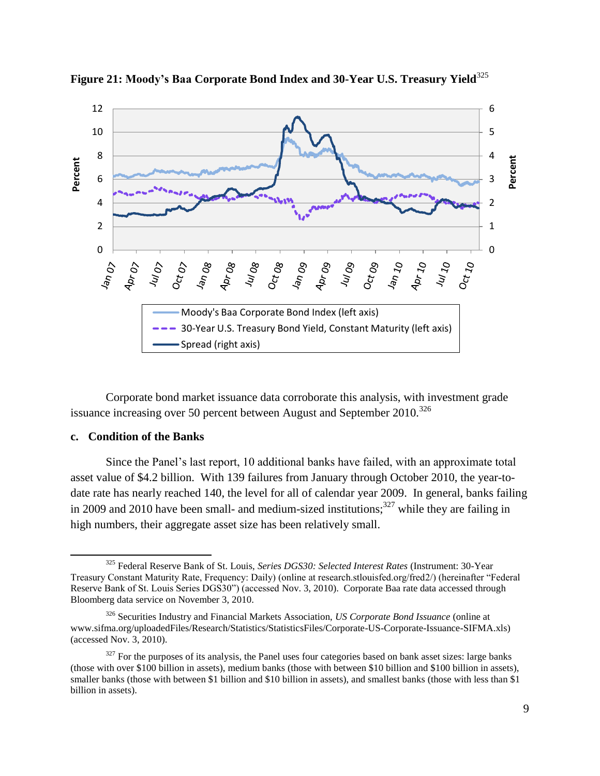![](_page_9_Figure_0.jpeg)

**Figure 21: Moody's Baa Corporate Bond Index and 30-Year U.S. Treasury Yield**<sup>325</sup>

Corporate bond market issuance data corroborate this analysis, with investment grade issuance increasing over 50 percent between August and September  $2010^{326}$ 

### **c. Condition of the Banks**

Since the Panel's last report, 10 additional banks have failed, with an approximate total asset value of \$4.2 billion. With 139 failures from January through October 2010, the year-todate rate has nearly reached 140, the level for all of calendar year 2009. In general, banks failing in 2009 and 2010 have been small- and medium-sized institutions;<sup>327</sup> while they are failing in high numbers, their aggregate asset size has been relatively small.

l <sup>325</sup> Federal Reserve Bank of St. Louis, *Series DGS30: Selected Interest Rates* (Instrument: 30-Year Treasury Constant Maturity Rate, Frequency: Daily) (online at research.stlouisfed.org/fred2/) (hereinafter "Federal Reserve Bank of St. Louis Series DGS30") (accessed Nov. 3, 2010). Corporate Baa rate data accessed through Bloomberg data service on November 3, 2010.

<sup>326</sup> Securities Industry and Financial Markets Association, *US Corporate Bond Issuance* (online at www.sifma.org/uploadedFiles/Research/Statistics/StatisticsFiles/Corporate-US-Corporate-Issuance-SIFMA.xls) (accessed Nov. 3, 2010).

 $327$  For the purposes of its analysis, the Panel uses four categories based on bank asset sizes: large banks (those with over \$100 billion in assets), medium banks (those with between \$10 billion and \$100 billion in assets), smaller banks (those with between \$1 billion and \$10 billion in assets), and smallest banks (those with less than \$1 billion in assets).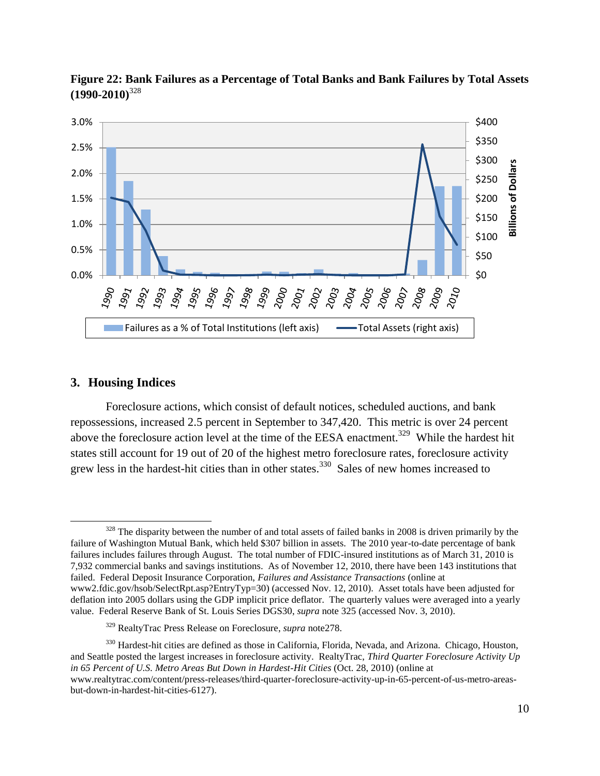![](_page_10_Figure_0.jpeg)

**Figure 22: Bank Failures as a Percentage of Total Banks and Bank Failures by Total Assets (1990-2010)**<sup>328</sup>

#### **3. Housing Indices**

Foreclosure actions, which consist of default notices, scheduled auctions, and bank repossessions, increased 2.5 percent in September to 347,420. This metric is over 24 percent above the foreclosure action level at the time of the EESA enactment.<sup>329</sup> While the hardest hit states still account for 19 out of 20 of the highest metro foreclosure rates, foreclosure activity grew less in the hardest-hit cities than in other states.<sup>330</sup> Sales of new homes increased to

 $\overline{\phantom{a}}$ <sup>328</sup> The disparity between the number of and total assets of failed banks in 2008 is driven primarily by the failure of Washington Mutual Bank, which held \$307 billion in assets. The 2010 year-to-date percentage of bank failures includes failures through August. The total number of FDIC-insured institutions as of March 31, 2010 is 7,932 commercial banks and savings institutions. As of November 12, 2010, there have been 143 institutions that failed. Federal Deposit Insurance Corporation, *Failures and Assistance Transactions* (online at www2.fdic.gov/hsob/SelectRpt.asp?EntryTyp=30) (accessed Nov. 12, 2010). Asset totals have been adjusted for deflation into 2005 dollars using the GDP implicit price deflator. The quarterly values were averaged into a yearly value. Federal Reserve Bank of St. Louis Series DGS30, *supra* note 325 (accessed Nov. 3, 2010).

<sup>329</sup> RealtyTrac Press Release on Foreclosure, *supra* note278.

<sup>&</sup>lt;sup>330</sup> Hardest-hit cities are defined as those in California, Florida, Nevada, and Arizona. Chicago, Houston, and Seattle posted the largest increases in foreclosure activity. RealtyTrac, *Third Quarter Foreclosure Activity Up in 65 Percent of U.S. Metro Areas But Down in Hardest-Hit Cities* (Oct. 28, 2010) (online at www.realtytrac.com/content/press-releases/third-quarter-foreclosure-activity-up-in-65-percent-of-us-metro-areasbut-down-in-hardest-hit-cities-6127).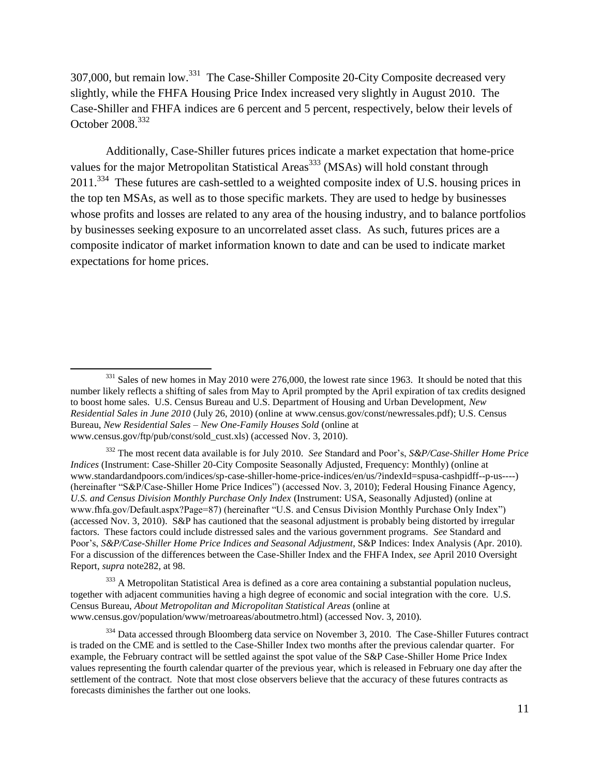307,000, but remain low.<sup>331</sup> The Case-Shiller Composite 20-City Composite decreased very slightly, while the FHFA Housing Price Index increased very slightly in August 2010. The Case-Shiller and FHFA indices are 6 percent and 5 percent, respectively, below their levels of October 2008.<sup>332</sup>

Additionally, Case-Shiller futures prices indicate a market expectation that home-price values for the major Metropolitan Statistical Areas<sup>333</sup> (MSAs) will hold constant through  $2011$ <sup>334</sup> These futures are cash-settled to a weighted composite index of U.S. housing prices in the top ten MSAs, as well as to those specific markets. They are used to hedge by businesses whose profits and losses are related to any area of the housing industry, and to balance portfolios by businesses seeking exposure to an uncorrelated asset class. As such, futures prices are a composite indicator of market information known to date and can be used to indicate market expectations for home prices.

 $\overline{\phantom{a}}$ 

<sup>332</sup> The most recent data available is for July 2010. *See* Standard and Poor's, *S&P/Case-Shiller Home Price Indices* (Instrument: Case-Shiller 20-City Composite Seasonally Adjusted, Frequency: Monthly) (online at www.standardandpoors.com/indices/sp-case-shiller-home-price-indices/en/us/?indexId=spusa-cashpidff--p-us----) (hereinafter "S&P/Case-Shiller Home Price Indices") (accessed Nov. 3, 2010); Federal Housing Finance Agency, *U.S. and Census Division Monthly Purchase Only Index* (Instrument: USA, Seasonally Adjusted) (online at www.fhfa.gov/Default.aspx?Page=87) (hereinafter "U.S. and Census Division Monthly Purchase Only Index") (accessed Nov. 3, 2010). S&P has cautioned that the seasonal adjustment is probably being distorted by irregular factors. These factors could include distressed sales and the various government programs. *See* Standard and Poor's, *S&P/Case-Shiller Home Price Indices and Seasonal Adjustment*, S&P Indices: Index Analysis (Apr. 2010). For a discussion of the differences between the Case-Shiller Index and the FHFA Index, *see* April 2010 Oversight Report, *supra* note282, at 98.

<sup>333</sup> A Metropolitan Statistical Area is defined as a core area containing a substantial population nucleus, together with adjacent communities having a high degree of economic and social integration with the core. U.S. Census Bureau, *About Metropolitan and Micropolitan Statistical Areas* (online at www.census.gov/population/www/metroareas/aboutmetro.html) (accessed Nov. 3, 2010).

<sup>&</sup>lt;sup>331</sup> Sales of new homes in May 2010 were 276,000, the lowest rate since 1963. It should be noted that this number likely reflects a shifting of sales from May to April prompted by the April expiration of tax credits designed to boost home sales. U.S. Census Bureau and U.S. Department of Housing and Urban Development, *New Residential Sales in June 2010* (July 26, 2010) (online at www.census.gov/const/newressales.pdf); U.S. Census Bureau, *New Residential Sales – New One-Family Houses Sold* (online at www.census.gov/ftp/pub/const/sold\_cust.xls) (accessed Nov. 3, 2010).

<sup>&</sup>lt;sup>334</sup> Data accessed through Bloomberg data service on November 3, 2010. The Case-Shiller Futures contract is traded on the CME and is settled to the Case-Shiller Index two months after the previous calendar quarter. For example, the February contract will be settled against the spot value of the S&P Case-Shiller Home Price Index values representing the fourth calendar quarter of the previous year, which is released in February one day after the settlement of the contract. Note that most close observers believe that the accuracy of these futures contracts as forecasts diminishes the farther out one looks.